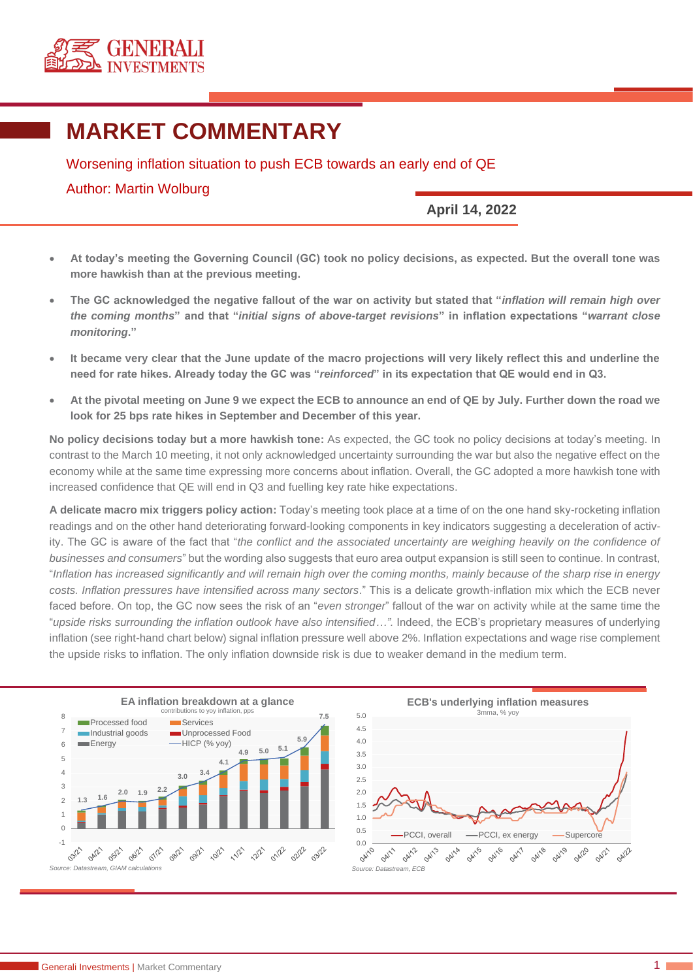

## **MARKET COMMENTARY**

Worsening inflation situation to push ECB towards an early end of QE Author: Martin Wolburg

## **April 14, 2022**

- **At today's meeting the Governing Council (GC) took no policy decisions, as expected. But the overall tone was more hawkish than at the previous meeting.**
- **The GC acknowledged the negative fallout of the war on activity but stated that "***inflation will remain high over the coming months***" and that "***initial signs of above-target revisions***" in inflation expectations "***warrant close monitoring***."**
- **It became very clear that the June update of the macro projections will very likely reflect this and underline the need for rate hikes. Already today the GC was "***reinforced***" in its expectation that QE would end in Q3.**
- **At the pivotal meeting on June 9 we expect the ECB to announce an end of QE by July. Further down the road we look for 25 bps rate hikes in September and December of this year.**

**No policy decisions today but a more hawkish tone:** As expected, the GC took no policy decisions at today's meeting. In contrast to the March 10 meeting, it not only acknowledged uncertainty surrounding the war but also the negative effect on the economy while at the same time expressing more concerns about inflation. Overall, the GC adopted a more hawkish tone with increased confidence that QE will end in Q3 and fuelling key rate hike expectations.

**A delicate macro mix triggers policy action:** Today's meeting took place at a time of on the one hand sky-rocketing inflation readings and on the other hand deteriorating forward-looking components in key indicators suggesting a deceleration of activity. The GC is aware of the fact that "*the conflict and the associated uncertainty are weighing heavily on the confidence of businesses and consumers*" but the wording also suggests that euro area output expansion is still seen to continue. In contrast, "*Inflation has increased significantly and will remain high over the coming months, mainly because of the sharp rise in energy costs. Inflation pressures have intensified across many sectors*." This is a delicate growth-inflation mix which the ECB never faced before. On top, the GC now sees the risk of an "*even stronger*" fallout of the war on activity while at the same time the "*upside risks surrounding the inflation outlook have also intensified…".* Indeed, the ECB's proprietary measures of underlying inflation (see right-hand chart below) signal inflation pressure well above 2%. Inflation expectations and wage rise complement the upside risks to inflation. The only inflation downside risk is due to weaker demand in the medium term.



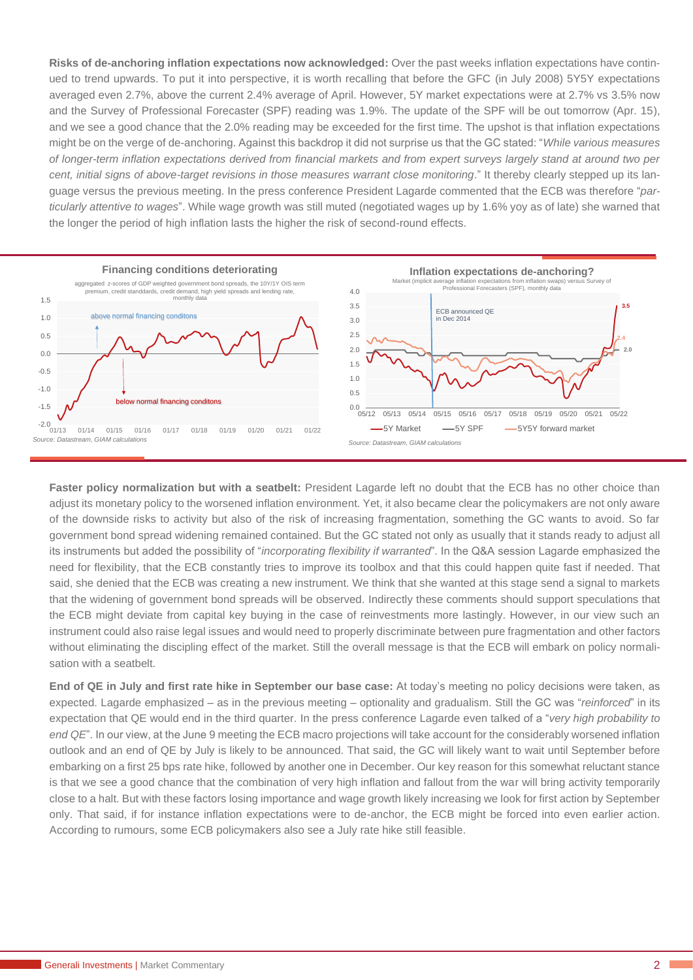**Risks of de-anchoring inflation expectations now acknowledged:** Over the past weeks inflation expectations have continued to trend upwards. To put it into perspective, it is worth recalling that before the GFC (in July 2008) 5Y5Y expectations averaged even 2.7%, above the current 2.4% average of April. However, 5Y market expectations were at 2.7% vs 3.5% now and the Survey of Professional Forecaster (SPF) reading was 1.9%. The update of the SPF will be out tomorrow (Apr. 15), and we see a good chance that the 2.0% reading may be exceeded for the first time. The upshot is that inflation expectations might be on the verge of de-anchoring. Against this backdrop it did not surprise us that the GC stated: "*While various measures of longer-term inflation expectations derived from financial markets and from expert surveys largely stand at around two per cent, initial signs of above-target revisions in those measures warrant close monitoring*." It thereby clearly stepped up its language versus the previous meeting. In the press conference President Lagarde commented that the ECB was therefore "*particularly attentive to wages*". While wage growth was still muted (negotiated wages up by 1.6% yoy as of late) she warned that the longer the period of high inflation lasts the higher the risk of second-round effects.



**Faster policy normalization but with a seatbelt:** President Lagarde left no doubt that the ECB has no other choice than adjust its monetary policy to the worsened inflation environment. Yet, it also became clear the policymakers are not only aware of the downside risks to activity but also of the risk of increasing fragmentation, something the GC wants to avoid. So far government bond spread widening remained contained. But the GC stated not only as usually that it stands ready to adjust all its instruments but added the possibility of "*incorporating flexibility if warranted*". In the Q&A session Lagarde emphasized the need for flexibility, that the ECB constantly tries to improve its toolbox and that this could happen quite fast if needed. That said, she denied that the ECB was creating a new instrument. We think that she wanted at this stage send a signal to markets that the widening of government bond spreads will be observed. Indirectly these comments should support speculations that the ECB might deviate from capital key buying in the case of reinvestments more lastingly. However, in our view such an instrument could also raise legal issues and would need to properly discriminate between pure fragmentation and other factors without eliminating the discipling effect of the market. Still the overall message is that the ECB will embark on policy normalisation with a seatbelt.

**End of QE in July and first rate hike in September our base case:** At today's meeting no policy decisions were taken, as expected. Lagarde emphasized – as in the previous meeting – optionality and gradualism. Still the GC was "*reinforced*" in its expectation that QE would end in the third quarter. In the press conference Lagarde even talked of a "*very high probability to end QE*". In our view, at the June 9 meeting the ECB macro projections will take account for the considerably worsened inflation outlook and an end of QE by July is likely to be announced. That said, the GC will likely want to wait until September before embarking on a first 25 bps rate hike, followed by another one in December. Our key reason for this somewhat reluctant stance is that we see a good chance that the combination of very high inflation and fallout from the war will bring activity temporarily close to a halt. But with these factors losing importance and wage growth likely increasing we look for first action by September only. That said, if for instance inflation expectations were to de-anchor, the ECB might be forced into even earlier action. According to rumours, some ECB policymakers also see a July rate hike still feasible.